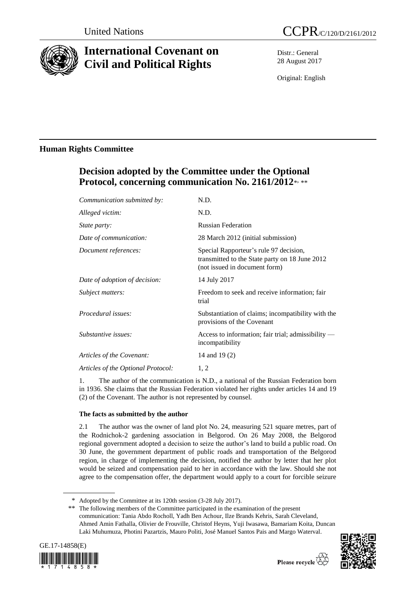

# **International Covenant on Civil and Political Rights**

Distr.: General 28 August 2017

Original: English

## **Human Rights Committee**

# **Decision adopted by the Committee under the Optional**  Protocol, concerning communication No. 2161/2012\*, \*\*

| Communication submitted by:        | N.D.                                                                                                                      |
|------------------------------------|---------------------------------------------------------------------------------------------------------------------------|
| Alleged victim:                    | N.D.                                                                                                                      |
| <i>State party:</i>                | <b>Russian Federation</b>                                                                                                 |
| Date of communication:             | 28 March 2012 (initial submission)                                                                                        |
| Document references:               | Special Rapporteur's rule 97 decision,<br>transmitted to the State party on 18 June 2012<br>(not issued in document form) |
| Date of adoption of decision:      | 14 July 2017                                                                                                              |
| Subject matters:                   | Freedom to seek and receive information; fair<br>trial                                                                    |
| Procedural issues:                 | Substantiation of claims; incompatibility with the<br>provisions of the Covenant                                          |
| Substantive issues:                | Access to information; fair trial; admissibility $-$<br>incompatibility                                                   |
| Articles of the Covenant:          | 14 and 19 (2)                                                                                                             |
| Articles of the Optional Protocol: | 1, 2                                                                                                                      |
|                                    |                                                                                                                           |

1. The author of the communication is N.D., a national of the Russian Federation born in 1936. She claims that the Russian Federation violated her rights under articles 14 and 19 (2) of the Covenant. The author is not represented by counsel.

### **The facts as submitted by the author**

2.1 The author was the owner of land plot No. 24, measuring 521 square metres, part of the Rodnichok-2 gardening association in Belgorod. On 26 May 2008, the Belgorod regional government adopted a decision to seize the author's land to build a public road. On 30 June, the government department of public roads and transportation of the Belgorod region, in charge of implementing the decision, notified the author by letter that her plot would be seized and compensation paid to her in accordance with the law. Should she not agree to the compensation offer, the department would apply to a court for forcible seizure

<sup>\*\*</sup> The following members of the Committee participated in the examination of the present communication: Tania Abdo Rocholl, Yadh Ben Achour, Ilze Brands Kehris, Sarah Cleveland, Ahmed Amin Fathalla, Olivier de Frouville, Christof Heyns, Yuji Iwasawa, Bamariam Koita, Duncan Laki Muhumuza, Photini Pazartzis, Mauro Politi, José Manuel Santos Pais and Margo Waterval.





<sup>\*</sup> Adopted by the Committee at its 120th session (3-28 July 2017).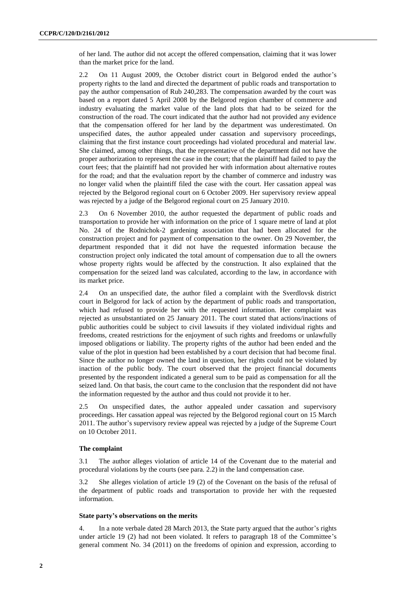of her land. The author did not accept the offered compensation, claiming that it was lower than the market price for the land.

2.2 On 11 August 2009, the October district court in Belgorod ended the author's property rights to the land and directed the department of public roads and transportation to pay the author compensation of Rub 240,283. The compensation awarded by the court was based on a report dated 5 April 2008 by the Belgorod region chamber of commerce and industry evaluating the market value of the land plots that had to be seized for the construction of the road. The court indicated that the author had not provided any evidence that the compensation offered for her land by the department was underestimated. On unspecified dates, the author appealed under cassation and supervisory proceedings, claiming that the first instance court proceedings had violated procedural and material law. She claimed, among other things, that the representative of the department did not have the proper authorization to represent the case in the court; that the plaintiff had failed to pay the court fees; that the plaintiff had not provided her with information about alternative routes for the road; and that the evaluation report by the chamber of commerce and industry was no longer valid when the plaintiff filed the case with the court. Her cassation appeal was rejected by the Belgorod regional court on 6 October 2009. Her supervisory review appeal was rejected by a judge of the Belgorod regional court on 25 January 2010.

2.3 On 6 November 2010, the author requested the department of public roads and transportation to provide her with information on the price of 1 square metre of land at plot No. 24 of the Rodnichok-2 gardening association that had been allocated for the construction project and for payment of compensation to the owner. On 29 November, the department responded that it did not have the requested information because the construction project only indicated the total amount of compensation due to all the owners whose property rights would be affected by the construction. It also explained that the compensation for the seized land was calculated, according to the law, in accordance with its market price.

2.4 On an unspecified date, the author filed a complaint with the Sverdlovsk district court in Belgorod for lack of action by the department of public roads and transportation, which had refused to provide her with the requested information. Her complaint was rejected as unsubstantiated on 25 January 2011. The court stated that actions/inactions of public authorities could be subject to civil lawsuits if they violated individual rights and freedoms, created restrictions for the enjoyment of such rights and freedoms or unlawfully imposed obligations or liability. The property rights of the author had been ended and the value of the plot in question had been established by a court decision that had become final. Since the author no longer owned the land in question, her rights could not be violated by inaction of the public body. The court observed that the project financial documents presented by the respondent indicated a general sum to be paid as compensation for all the seized land. On that basis, the court came to the conclusion that the respondent did not have the information requested by the author and thus could not provide it to her.

2.5 On unspecified dates, the author appealed under cassation and supervisory proceedings. Her cassation appeal was rejected by the Belgorod regional court on 15 March 2011. The author's supervisory review appeal was rejected by a judge of the Supreme Court on 10 October 2011.

#### **The complaint**

3.1 The author alleges violation of article 14 of the Covenant due to the material and procedural violations by the courts (see para. 2.2) in the land compensation case.

3.2 She alleges violation of article 19 (2) of the Covenant on the basis of the refusal of the department of public roads and transportation to provide her with the requested information.

#### **State party's observations on the merits**

4. In a note verbale dated 28 March 2013, the State party argued that the author's rights under article 19 (2) had not been violated. It refers to paragraph 18 of the Committee's general comment No. 34 (2011) on the freedoms of opinion and expression, according to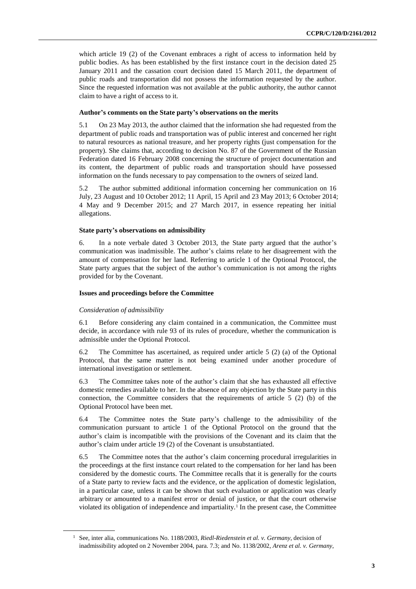which article 19 (2) of the Covenant embraces a right of access to information held by public bodies. As has been established by the first instance court in the decision dated 25 January 2011 and the cassation court decision dated 15 March 2011, the department of public roads and transportation did not possess the information requested by the author. Since the requested information was not available at the public authority, the author cannot claim to have a right of access to it.

#### **Author's comments on the State party's observations on the merits**

5.1 On 23 May 2013, the author claimed that the information she had requested from the department of public roads and transportation was of public interest and concerned her right to natural resources as national treasure, and her property rights (just compensation for the property). She claims that, according to decision No. 87 of the Government of the Russian Federation dated 16 February 2008 concerning the structure of project documentation and its content, the department of public roads and transportation should have possessed information on the funds necessary to pay compensation to the owners of seized land.

5.2 The author submitted additional information concerning her communication on 16 July, 23 August and 10 October 2012; 11 April, 15 April and 23 May 2013; 6 October 2014; 4 May and 9 December 2015; and 27 March 2017, in essence repeating her initial allegations.

#### **State party's observations on admissibility**

6. In a note verbale dated 3 October 2013, the State party argued that the author's communication was inadmissible. The author's claims relate to her disagreement with the amount of compensation for her land. Referring to article 1 of the Optional Protocol, the State party argues that the subject of the author's communication is not among the rights provided for by the Covenant.

#### **Issues and proceedings before the Committee**

#### *Consideration of admissibility*

6.1 Before considering any claim contained in a communication, the Committee must decide, in accordance with rule 93 of its rules of procedure, whether the communication is admissible under the Optional Protocol.

6.2 The Committee has ascertained, as required under article 5 (2) (a) of the Optional Protocol, that the same matter is not being examined under another procedure of international investigation or settlement.

6.3 The Committee takes note of the author's claim that she has exhausted all effective domestic remedies available to her. In the absence of any objection by the State party in this connection, the Committee considers that the requirements of article 5 (2) (b) of the Optional Protocol have been met.

6.4 The Committee notes the State party's challenge to the admissibility of the communication pursuant to article 1 of the Optional Protocol on the ground that the author's claim is incompatible with the provisions of the Covenant and its claim that the author's claim under article 19 (2) of the Covenant is unsubstantiated.

6.5 The Committee notes that the author's claim concerning procedural irregularities in the proceedings at the first instance court related to the compensation for her land has been considered by the domestic courts. The Committee recalls that it is generally for the courts of a State party to review facts and the evidence, or the application of domestic legislation, in a particular case, unless it can be shown that such evaluation or application was clearly arbitrary or amounted to a manifest error or denial of justice, or that the court otherwise violated its obligation of independence and impartiality.<sup>1</sup> In the present case, the Committee

<sup>1</sup> See, inter alia, communications No. 1188/2003, *Riedl-Riedenstein et al. v. Germany*, decision of inadmissibility adopted on 2 November 2004, para. 7.3; and No. 1138/2002, *Arenz et al. v. Germany*,